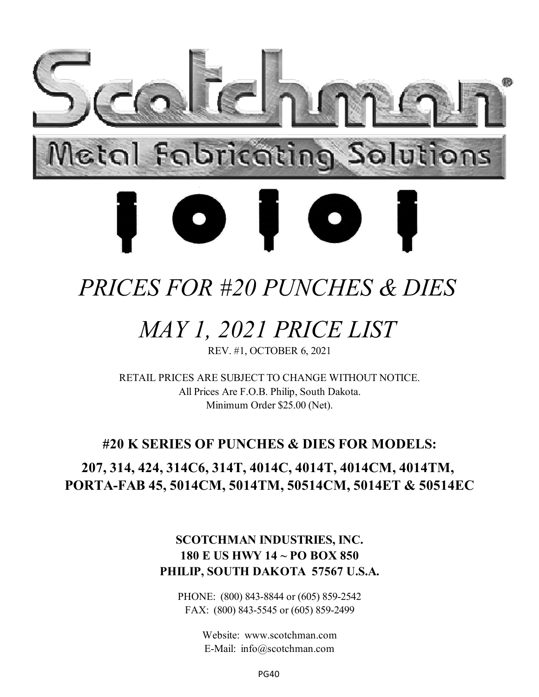

# *PRICES FOR #20 PUNCHES & DIES*

# *MAY 1, 2021 PRICE LIST*

REV. #1, OCTOBER 6, 2021

RETAIL PRICES ARE SUBJECT TO CHANGE WITHOUT NOTICE. All Prices Are F.O.B. Philip, South Dakota. Minimum Order \$25.00 (Net).

### **#20 K SERIES OF PUNCHES & DIES FOR MODELS:**

### **207, 314, 424, 314C6, 314T, 4014C, 4014T, 4014CM, 4014TM, PORTA-FAB 45, 5014CM, 5014TM, 50514CM, 5014ET & 50514EC**

#### **SCOTCHMAN INDUSTRIES, INC. 180 E US HWY 14 ~ PO BOX 850 PHILIP, SOUTH DAKOTA 57567 U.S.A.**

PHONE: (800) 843-8844 or (605) 859-2542 FAX: (800) 843-5545 or (605) 859-2499

> Website: www.scotchman.com E-Mail: info@scotchman.com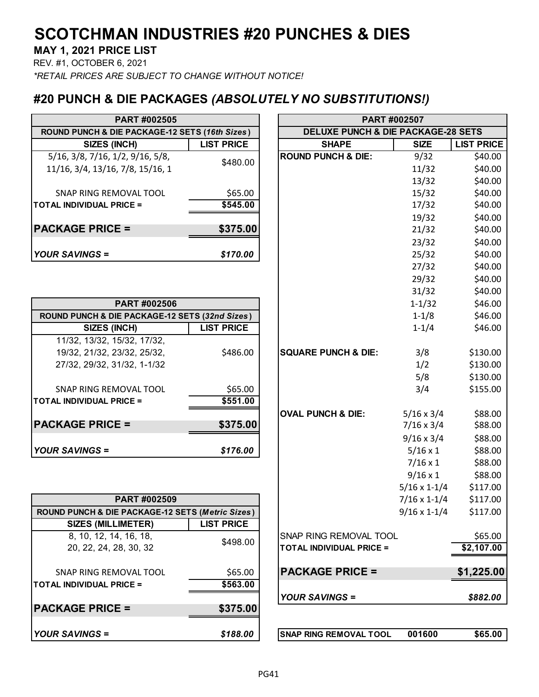**MAY 1, 2021 PRICE LIST**

REV. #1, OCTOBER 6, 2021

*\*RETAIL PRICES ARE SUBJECT TO CHANGE WITHOUT NOTICE!*

#### **#20 PUNCH & DIE PACKAGES** *(ABSOLUTELY NO SUBSTITUTIONS!)*

| <b>PART #002505</b>                                |                   |                                               | <b>PART #002507</b> |               |
|----------------------------------------------------|-------------------|-----------------------------------------------|---------------------|---------------|
| ROUND PUNCH & DIE PACKAGE-12 SETS (16th Sizes)     |                   | <b>DELUXE PUNCH &amp; DIE PACKAGE-28 SETS</b> |                     |               |
| SIZES (INCH)                                       | <b>LIST PRICE</b> | <b>SHAPE</b>                                  | <b>SIZE</b>         | <b>LIST P</b> |
| $5/16$ , $3/8$ , $7/16$ , $1/2$ , $9/16$ , $5/8$ , | \$480.00          | <b>ROUND PUNCH &amp; DIE:</b>                 | 9/32                | \$4           |
| 11/16, 3/4, 13/16, 7/8, 15/16, 1                   |                   |                                               | 11/32               | \$4           |
|                                                    |                   |                                               | 13/32               | \$4           |
| SNAP RING REMOVAL TOOL                             | \$65.00           |                                               | 15/32               | \$4           |
| <b>TOTAL INDIVIDUAL PRICE =</b>                    | \$545.00          |                                               | 17/32               | \$4           |
|                                                    |                   |                                               | 19/32               | \$4           |
| <b>PACKAGE PRICE =</b>                             | \$375.00          |                                               | 21/32               | \$4           |
|                                                    |                   |                                               | 23/32               | \$4           |
| <b>YOUR SAVINGS =</b>                              | \$170.00          |                                               | 25/32               | \$4           |

| <b>PART #002506</b>                            |                   |                                |       |
|------------------------------------------------|-------------------|--------------------------------|-------|
| ROUND PUNCH & DIE PACKAGE-12 SETS (32nd Sizes) |                   |                                |       |
| SIZES (INCH)                                   | <b>LIST PRICE</b> |                                |       |
| 11/32, 13/32, 15/32, 17/32,                    |                   |                                |       |
| 19/32, 21/32, 23/32, 25/32,                    | \$486.00          | <b>SQUARE PUNCH &amp; DIE:</b> |       |
| 27/32, 29/32, 31/32, 1-1/32                    |                   |                                |       |
|                                                |                   |                                |       |
| SNAP RING REMOVAL TOOL                         | \$65.00           |                                |       |
| <b>TOTAL INDIVIDUAL PRICE =</b>                | \$551.00          |                                |       |
|                                                |                   | <b>OVAL PUNCH &amp; DIE:</b>   | 5/16x |
| <b>PACKAGE PRICE =</b>                         | \$375.00          |                                | 7/16x |
|                                                |                   |                                | 9/16x |
| <b>YOUR SAVINGS =</b>                          | \$176.00          |                                |       |

| <b>PART #002509</b>                              |                   | $7/16 \times 1 - 1/4$                   | \$117.00   |
|--------------------------------------------------|-------------------|-----------------------------------------|------------|
| ROUND PUNCH & DIE PACKAGE-12 SETS (Metric Sizes) |                   | $9/16 \times 1 - 1/4$                   | \$117.00   |
| <b>SIZES (MILLIMETER)</b>                        | <b>LIST PRICE</b> |                                         |            |
| 8, 10, 12, 14, 16, 18,                           | \$498.00          | <b>SNAP RING REMOVAL TOOL</b>           | \$65.00    |
| 20, 22, 24, 28, 30, 32                           |                   | <b>ITOTAL INDIVIDUAL PRICE =</b>        | \$2,107.00 |
| SNAP RING REMOVAL TOOL                           | \$65.00           | <b>PACKAGE PRICE =</b>                  | \$1,225.00 |
| <b>TOTAL INDIVIDUAL PRICE =</b>                  | \$563.00          |                                         |            |
|                                                  |                   | <b>YOUR SAVINGS =</b>                   | \$882.00   |
| <b>PACKAGE PRICE =</b>                           | \$375.00          |                                         |            |
| <b>YOUR SAVINGS =</b>                            | \$188.00          | 001600<br><b>SNAP RING REMOVAL TOOL</b> | \$65.00    |

| PART #002505                                             |                   | PART #002507                                  |                       |                   |
|----------------------------------------------------------|-------------------|-----------------------------------------------|-----------------------|-------------------|
| <b>JND PUNCH &amp; DIE PACKAGE-12 SETS (16th Sizes)</b>  |                   | <b>DELUXE PUNCH &amp; DIE PACKAGE-28 SETS</b> |                       |                   |
| SIZES (INCH)                                             | <b>LIST PRICE</b> | <b>SHAPE</b>                                  | <b>SIZE</b>           | <b>LIST PRICE</b> |
| '16, 3/8, 7/16, 1/2, 9/16, 5/8,                          | \$480.00          | <b>ROUND PUNCH &amp; DIE:</b>                 | 9/32                  | \$40.00           |
| /16, 3/4, 13/16, 7/8, 15/16, 1                           |                   |                                               | 11/32                 | \$40.00           |
|                                                          |                   |                                               | 13/32                 | \$40.00           |
| SNAP RING REMOVAL TOOL                                   | \$65.00           |                                               | 15/32                 | \$40.00           |
| L INDIVIDUAL PRICE =                                     | \$545.00          |                                               | 17/32                 | \$40.00           |
|                                                          |                   |                                               | 19/32                 | \$40.00           |
| <b>KAGE PRICE =</b>                                      | \$375.00          |                                               | 21/32                 | \$40.00           |
|                                                          |                   |                                               | 23/32                 | \$40.00           |
| २ SAVINGS =                                              | \$170.00          |                                               | 25/32                 | \$40.00           |
|                                                          |                   |                                               | 27/32                 | \$40.00           |
|                                                          |                   |                                               | 29/32                 | \$40.00           |
|                                                          |                   |                                               | 31/32                 | \$40.00           |
| PART #002506                                             |                   |                                               | $1 - 1/32$            | \$46.00           |
| IND PUNCH & DIE PACKAGE-12 SETS (32nd Sizes)             |                   |                                               | $1 - 1/8$             | \$46.00           |
| <b>SIZES (INCH)</b>                                      | <b>LIST PRICE</b> |                                               | $1 - 1/4$             | \$46.00           |
| 11/32, 13/32, 15/32, 17/32,                              |                   |                                               |                       |                   |
| 19/32, 21/32, 23/32, 25/32,                              | \$486.00          | <b>SQUARE PUNCH &amp; DIE:</b>                | 3/8                   | \$130.00          |
| 27/32, 29/32, 31/32, 1-1/32                              |                   |                                               | 1/2                   | \$130.00          |
|                                                          |                   |                                               | 5/8                   | \$130.00          |
| SNAP RING REMOVAL TOOL                                   | \$65.00           |                                               | 3/4                   | \$155.00          |
| L INDIVIDUAL PRICE =                                     | \$551.00          |                                               |                       |                   |
|                                                          |                   | <b>OVAL PUNCH &amp; DIE:</b>                  | $5/16 \times 3/4$     | \$88.00           |
| <b>KAGE PRICE =</b>                                      | \$375.00          |                                               | $7/16 \times 3/4$     | \$88.00           |
|                                                          |                   |                                               | $9/16 \times 3/4$     | \$88.00           |
| २ SAVINGS =                                              | \$176.00          |                                               | $5/16 \times 1$       | \$88.00           |
|                                                          |                   |                                               | $7/16 \times 1$       | \$88.00           |
|                                                          |                   |                                               | $9/16 \times 1$       | \$88.00           |
|                                                          |                   |                                               | $5/16 \times 1 - 1/4$ | \$117.00          |
| PART #002509                                             |                   |                                               | $7/16 \times 1 - 1/4$ | \$117.00          |
| <b>ND PUNCH &amp; DIE PACKAGE-12 SETS (Metric Sizes)</b> |                   |                                               | 9/16 x 1-1/4          | \$117.00          |
| <b>SIZES (MILLIMETER)</b>                                | <b>LIST PRICE</b> |                                               |                       |                   |
| 8, 10, 12, 14, 16, 18,                                   | \$498.00          | SNAP RING REMOVAL TOOL                        |                       | \$65.00           |
| 20, 22, 24, 28, 30, 32                                   |                   | <b>TOTAL INDIVIDUAL PRICE =</b>               |                       | \$2,107.00        |
|                                                          |                   |                                               |                       |                   |
| SNAP RING REMOVAL TOOL                                   | \$65.00           | <b>PACKAGE PRICE =</b>                        |                       | \$1,225.00        |
| L INDIVIDUAL PRICE =                                     | \$563.00          |                                               |                       |                   |
|                                                          |                   | <b>YOUR SAVINGS =</b>                         |                       | \$882.00          |
| <b>KAGE PRICE =</b>                                      | \$375.00          |                                               |                       |                   |

| ISNAP RING REMOVAL TOOL | 001600 | \$65.00 |
|-------------------------|--------|---------|
|-------------------------|--------|---------|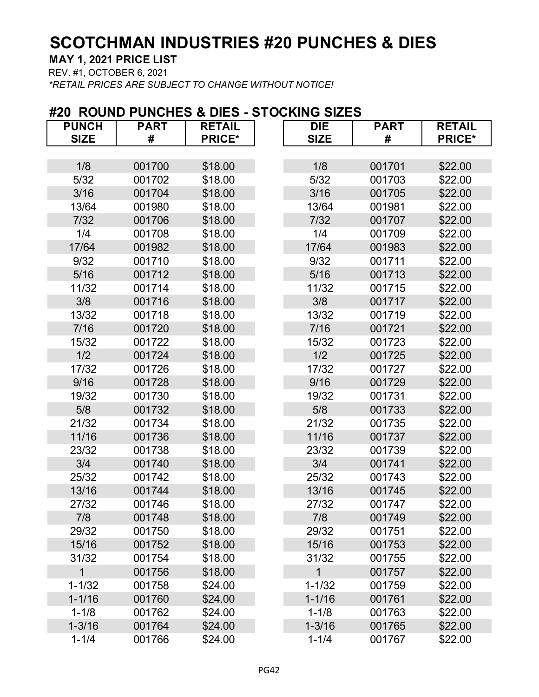**MAY 1, 2021 PRICE LIST**

REV. #1, OCTOBER 6, 2021

*\*RETAIL PRICES ARE SUBJECT TO CHANGE WITHOUT NOTICE!*

# **#20 ROUND PUNCHES & DIES - STOCKING SIZES PUNCH PART RETAIL DIE PART RETAIL**

| <b>SIZE</b>  | #      | <b>PRICE*</b> | <b>SIZE</b> | #      | <b>PRICE*</b> |
|--------------|--------|---------------|-------------|--------|---------------|
|              |        |               |             |        |               |
| 1/8          | 001700 | \$18.00       | 1/8         | 001701 | \$22.00       |
| $5/32$       | 001702 | \$18.00       | 5/32        | 001703 | \$22.00       |
| 3/16         | 001704 | \$18.00       | 3/16        | 001705 | \$22.00       |
| 13/64        | 001980 | \$18.00       | 13/64       | 001981 | \$22.00       |
| 7/32         | 001706 | \$18.00       | 7/32        | 001707 | \$22.00       |
| 1/4          | 001708 | \$18.00       | 1/4         | 001709 | \$22.00       |
| 17/64        | 001982 | \$18.00       | 17/64       | 001983 | \$22.00       |
| 9/32         | 001710 | \$18.00       | 9/32        | 001711 | \$22.00       |
| 5/16         | 001712 | \$18.00       | 5/16        | 001713 | \$22.00       |
| 11/32        | 001714 | \$18.00       | 11/32       | 001715 | \$22.00       |
| 3/8          | 001716 | \$18.00       | 3/8         | 001717 | \$22.00       |
| 13/32        | 001718 | \$18.00       | 13/32       | 001719 | \$22.00       |
| 7/16         | 001720 | \$18.00       | 7/16        | 001721 | \$22.00       |
| 15/32        | 001722 | \$18.00       | 15/32       | 001723 | \$22.00       |
| 1/2          | 001724 | \$18.00       | 1/2         | 001725 | \$22.00       |
| 17/32        | 001726 | \$18.00       | 17/32       | 001727 | \$22.00       |
| 9/16         | 001728 | \$18.00       | 9/16        | 001729 | \$22.00       |
| 19/32        | 001730 | \$18.00       | 19/32       | 001731 | \$22.00       |
| 5/8          | 001732 | \$18.00       | 5/8         | 001733 | \$22.00       |
| 21/32        | 001734 | \$18.00       | 21/32       | 001735 | \$22.00       |
| 11/16        | 001736 | \$18.00       | 11/16       | 001737 | \$22.00       |
| 23/32        | 001738 | \$18.00       | 23/32       | 001739 | \$22.00       |
| 3/4          | 001740 | \$18.00       | 3/4         | 001741 | \$22.00       |
| 25/32        | 001742 | \$18.00       | 25/32       | 001743 | \$22.00       |
| 13/16        | 001744 | \$18.00       | 13/16       | 001745 | \$22.00       |
| 27/32        | 001746 | \$18.00       | 27/32       | 001747 | \$22.00       |
| 7/8          | 001748 | \$18.00       | 7/8         | 001749 | \$22.00       |
| 29/32        | 001750 | \$18.00       | 29/32       | 001751 | \$22.00       |
| 15/16        | 001752 | \$18.00       | 15/16       | 001753 | \$22.00       |
| 31/32        | 001754 | \$18.00       | 31/32       | 001755 | \$22.00       |
| $\mathbf{1}$ | 001756 | \$18.00       | $\mathbf 1$ | 001757 | \$22.00       |
| $1 - 1/32$   | 001758 | \$24.00       | $1 - 1/32$  | 001759 | \$22.00       |
| $1 - 1/16$   | 001760 | \$24.00       | $1 - 1/16$  | 001761 | \$22.00       |
| $1 - 1/8$    | 001762 | \$24.00       | $1 - 1/8$   | 001763 | \$22.00       |
| $1 - 3/16$   | 001764 | \$24.00       | $1 - 3/16$  | 001765 | \$22.00       |
| $1 - 1/4$    | 001766 | \$24.00       | $1 - 1/4$   | 001767 | \$22.00       |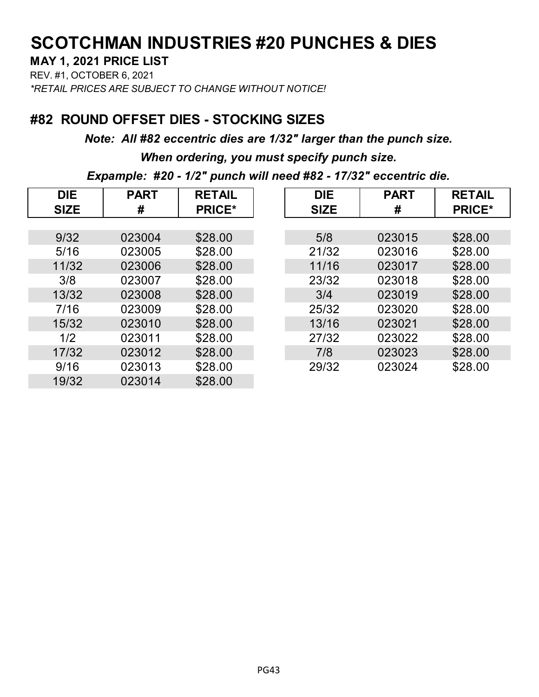#### **MAY 1, 2021 PRICE LIST**

REV. #1, OCTOBER 6, 2021 *\*RETAIL PRICES ARE SUBJECT TO CHANGE WITHOUT NOTICE!*

### **#82 ROUND OFFSET DIES - STOCKING SIZES**

*Note: All #82 eccentric dies are 1/32" larger than the punch size.*

*When ordering, you must specify punch size.*

*Expample: #20 - 1/2" punch will need #82 - 17/32" eccentric die.*

| <b>DIE</b>  | <b>PART</b> | <b>RETAIL</b> | <b>DIE</b>  | <b>PART</b> | <b>RETAIL</b> |
|-------------|-------------|---------------|-------------|-------------|---------------|
| <b>SIZE</b> | #           | <b>PRICE*</b> | <b>SIZE</b> | #           | <b>PRICE*</b> |
|             |             |               |             |             |               |
| 9/32        | 023004      | \$28.00       | 5/8         | 023015      | \$28.00       |
| 5/16        | 023005      | \$28.00       | 21/32       | 023016      | \$28.00       |
| 11/32       | 023006      | \$28.00       | 11/16       | 023017      | \$28.00       |
| 3/8         | 023007      | \$28.00       | 23/32       | 023018      | \$28.00       |
| 13/32       | 023008      | \$28.00       | 3/4         | 023019      | \$28.00       |
| 7/16        | 023009      | \$28.00       | 25/32       | 023020      | \$28.00       |
| 15/32       | 023010      | \$28.00       | 13/16       | 023021      | \$28.00       |
| 1/2         | 023011      | \$28.00       | 27/32       | 023022      | \$28.00       |
| 17/32       | 023012      | \$28.00       | 7/8         | 023023      | \$28.00       |
| 9/16        | 023013      | \$28.00       | 29/32       | 023024      | \$28.00       |
| 19/32       | 023014      | \$28.00       |             |             |               |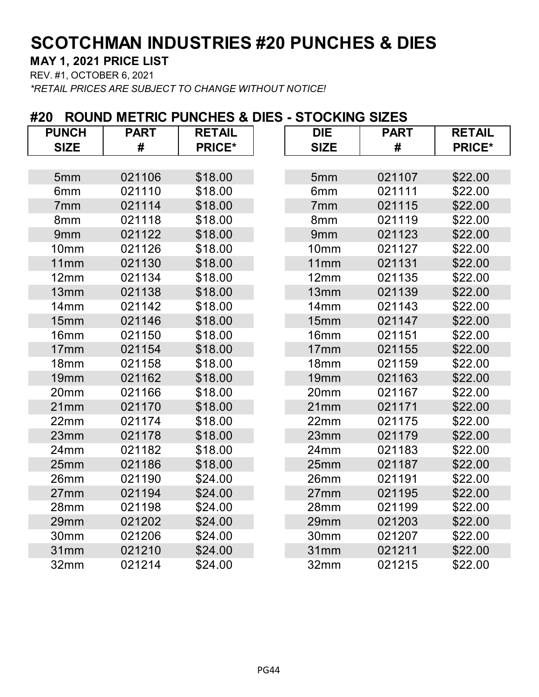**MAY 1, 2021 PRICE LIST**

REV. #1, OCTOBER 6, 2021

*\*RETAIL PRICES ARE SUBJECT TO CHANGE WITHOUT NOTICE!*

#### **#20 ROUND METRIC PUNCHES & DIES - STOCKING SIZES**

| <b>PUNCH</b>     | <b>PART</b> | <b>RETAIL</b> | <b>DIE</b>       | <b>PART</b> | <b>RETAIL</b> |
|------------------|-------------|---------------|------------------|-------------|---------------|
| <b>SIZE</b>      | #           | <b>PRICE*</b> | <b>SIZE</b>      | #           | <b>PRICE*</b> |
|                  |             |               |                  |             |               |
| 5mm              | 021106      | \$18.00       | 5mm              | 021107      | \$22.00       |
| 6mm              | 021110      | \$18.00       | 6mm              | 021111      | \$22.00       |
| 7 <sub>mm</sub>  | 021114      | \$18.00       | 7mm              | 021115      | \$22.00       |
| 8mm              | 021118      | \$18.00       | 8mm              | 021119      | \$22.00       |
| 9mm              | 021122      | \$18.00       | 9mm              | 021123      | \$22.00       |
| 10mm             | 021126      | \$18.00       | 10mm             | 021127      | \$22.00       |
| 11mm             | 021130      | \$18.00       | 11mm             | 021131      | \$22.00       |
| 12mm             | 021134      | \$18.00       | 12mm             | 021135      | \$22.00       |
| 13mm             | 021138      | \$18.00       | 13mm             | 021139      | \$22.00       |
| 14mm             | 021142      | \$18.00       | 14mm             | 021143      | \$22.00       |
| 15mm             | 021146      | \$18.00       | 15mm             | 021147      | \$22.00       |
| 16 <sub>mm</sub> | 021150      | \$18.00       | 16 <sub>mm</sub> | 021151      | \$22.00       |
| 17mm             | 021154      | \$18.00       | 17 <sub>mm</sub> | 021155      | \$22.00       |
| 18 <sub>mm</sub> | 021158      | \$18.00       | 18mm             | 021159      | \$22.00       |
| 19mm             | 021162      | \$18.00       | 19mm             | 021163      | \$22.00       |
| 20mm             | 021166      | \$18.00       | 20mm             | 021167      | \$22.00       |
| 21mm             | 021170      | \$18.00       | 21mm             | 021171      | \$22.00       |
| 22mm             | 021174      | \$18.00       | 22mm             | 021175      | \$22.00       |
| 23mm             | 021178      | \$18.00       | 23mm             | 021179      | \$22.00       |
| 24mm             | 021182      | \$18.00       | 24mm             | 021183      | \$22.00       |
| 25mm             | 021186      | \$18.00       | 25mm             | 021187      | \$22.00       |
| 26mm             | 021190      | \$24.00       | 26mm             | 021191      | \$22.00       |
| 27mm             | 021194      | \$24.00       | 27mm             | 021195      | \$22.00       |
| 28mm             | 021198      | \$24.00       | 28mm             | 021199      | \$22.00       |
| 29mm             | 021202      | \$24.00       | 29mm             | 021203      | \$22.00       |
| 30mm             | 021206      | \$24.00       | 30mm             | 021207      | \$22.00       |
| 31mm             | 021210      | \$24.00       | 31mm             | 021211      | \$22.00       |
| 32mm             | 021214      | \$24.00       | 32mm             | 021215      | \$22.00       |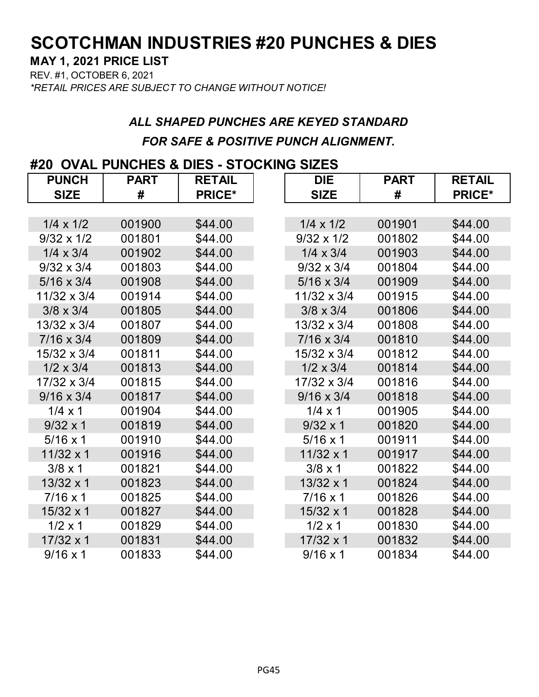#### **MAY 1, 2021 PRICE LIST**

REV. #1, OCTOBER 6, 2021 *\*RETAIL PRICES ARE SUBJECT TO CHANGE WITHOUT NOTICE!*

## *ALL SHAPED PUNCHES ARE KEYED STANDARD FOR SAFE & POSITIVE PUNCH ALIGNMENT.*

#### **#20 OVAL PUNCHES & DIES - STOCKING SIZES**

| <b>PUNCH</b>      | <b>PART</b> | <b>RETAIL</b> | <b>DIE</b>        | <b>PART</b> | <b>RETAIL</b> |
|-------------------|-------------|---------------|-------------------|-------------|---------------|
| <b>SIZE</b>       | #           | <b>PRICE*</b> | <b>SIZE</b>       | #           | <b>PRICE*</b> |
|                   |             |               |                   |             |               |
| $1/4 \times 1/2$  | 001900      | \$44.00       | $1/4 \times 1/2$  | 001901      | \$44.00       |
| $9/32 \times 1/2$ | 001801      | \$44.00       | $9/32 \times 1/2$ | 001802      | \$44.00       |
| $1/4 \times 3/4$  | 001902      | \$44.00       | $1/4 \times 3/4$  | 001903      | \$44.00       |
| $9/32 \times 3/4$ | 001803      | \$44.00       | $9/32 \times 3/4$ | 001804      | \$44.00       |
| $5/16 \times 3/4$ | 001908      | \$44.00       | $5/16 \times 3/4$ | 001909      | \$44.00       |
| 11/32 x 3/4       | 001914      | \$44.00       | 11/32 x 3/4       | 001915      | \$44.00       |
| $3/8 \times 3/4$  | 001805      | \$44.00       | $3/8 \times 3/4$  | 001806      | \$44.00       |
| 13/32 x 3/4       | 001807      | \$44.00       | 13/32 x 3/4       | 001808      | \$44.00       |
| $7/16 \times 3/4$ | 001809      | \$44.00       | $7/16 \times 3/4$ | 001810      | \$44.00       |
| 15/32 x 3/4       | 001811      | \$44.00       | 15/32 x 3/4       | 001812      | \$44.00       |
| $1/2 \times 3/4$  | 001813      | \$44.00       | $1/2 \times 3/4$  | 001814      | \$44.00       |
| 17/32 x 3/4       | 001815      | \$44.00       | 17/32 x 3/4       | 001816      | \$44.00       |
| $9/16 \times 3/4$ | 001817      | \$44.00       | $9/16 \times 3/4$ | 001818      | \$44.00       |
| $1/4 \times 1$    | 001904      | \$44.00       | $1/4 \times 1$    | 001905      | \$44.00       |
| $9/32 \times 1$   | 001819      | \$44.00       | $9/32 \times 1$   | 001820      | \$44.00       |
| $5/16 \times 1$   | 001910      | \$44.00       | $5/16 \times 1$   | 001911      | \$44.00       |
| $11/32 \times 1$  | 001916      | \$44.00       | $11/32 \times 1$  | 001917      | \$44.00       |
| $3/8 \times 1$    | 001821      | \$44.00       | $3/8 \times 1$    | 001822      | \$44.00       |
| $13/32 \times 1$  | 001823      | \$44.00       | $13/32 \times 1$  | 001824      | \$44.00       |
| $7/16 \times 1$   | 001825      | \$44.00       | $7/16 \times 1$   | 001826      | \$44.00       |
| $15/32 \times 1$  | 001827      | \$44.00       | $15/32 \times 1$  | 001828      | \$44.00       |
| $1/2 \times 1$    | 001829      | \$44.00       | $1/2 \times 1$    | 001830      | \$44.00       |
| $17/32 \times 1$  | 001831      | \$44.00       | $17/32 \times 1$  | 001832      | \$44.00       |
| $9/16 \times 1$   | 001833      | \$44.00       | $9/16 \times 1$   | 001834      | \$44.00       |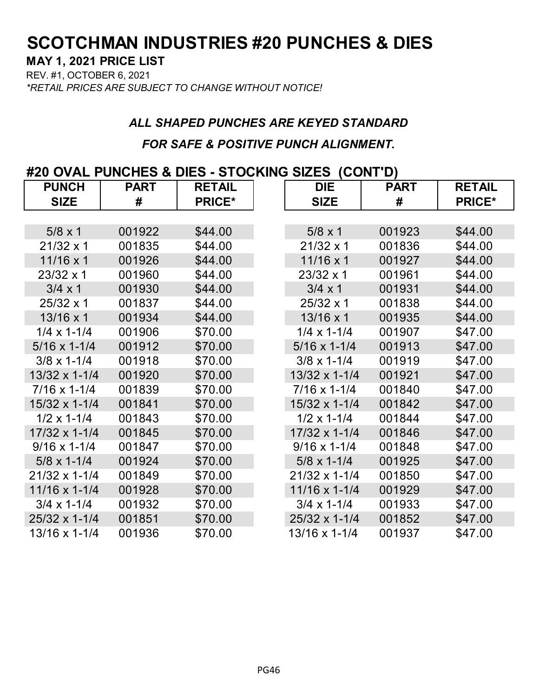#### **MAY 1, 2021 PRICE LIST**

REV. #1, OCTOBER 6, 2021 *\*RETAIL PRICES ARE SUBJECT TO CHANGE WITHOUT NOTICE!*

## *ALL SHAPED PUNCHES ARE KEYED STANDARD FOR SAFE & POSITIVE PUNCH ALIGNMENT.*

#### **#20 OVAL PUNCHES & DIES - STOCKING SIZES (CONT'D)**

| <b>PUNCH</b>           | <b>PART</b> | <b>RETAIL</b> | <b>DIE</b>             | <b>PART</b> | <b>RETAIL</b> |
|------------------------|-------------|---------------|------------------------|-------------|---------------|
| <b>SIZE</b>            | #           | <b>PRICE*</b> | <b>SIZE</b>            | #           | <b>PRICE*</b> |
|                        |             |               |                        |             |               |
| $5/8 \times 1$         | 001922      | \$44.00       | $5/8 \times 1$         | 001923      | \$44.00       |
| $21/32 \times 1$       | 001835      | \$44.00       | $21/32 \times 1$       | 001836      | \$44.00       |
| $11/16 \times 1$       | 001926      | \$44.00       | $11/16 \times 1$       | 001927      | \$44.00       |
| $23/32 \times 1$       | 001960      | \$44.00       | 23/32 x 1              | 001961      | \$44.00       |
| $3/4 \times 1$         | 001930      | \$44.00       | $3/4 \times 1$         | 001931      | \$44.00       |
| 25/32 x 1              | 001837      | \$44.00       | $25/32 \times 1$       | 001838      | \$44.00       |
| $13/16 \times 1$       | 001934      | \$44.00       | 13/16 x 1              | 001935      | \$44.00       |
| $1/4 \times 1 - 1/4$   | 001906      | \$70.00       | $1/4 \times 1 - 1/4$   | 001907      | \$47.00       |
| $5/16 \times 1 - 1/4$  | 001912      | \$70.00       | $5/16 \times 1 - 1/4$  | 001913      | \$47.00       |
| $3/8 \times 1 - 1/4$   | 001918      | \$70.00       | $3/8 \times 1 - 1/4$   | 001919      | \$47.00       |
| 13/32 x 1-1/4          | 001920      | \$70.00       | 13/32 x 1-1/4          | 001921      | \$47.00       |
| $7/16 \times 1 - 1/4$  | 001839      | \$70.00       | $7/16 \times 1 - 1/4$  | 001840      | \$47.00       |
| 15/32 x 1-1/4          | 001841      | \$70.00       | $15/32 \times 1 - 1/4$ | 001842      | \$47.00       |
| $1/2 \times 1 - 1/4$   | 001843      | \$70.00       | $1/2 \times 1 - 1/4$   | 001844      | \$47.00       |
| 17/32 x 1-1/4          | 001845      | \$70.00       | 17/32 x 1-1/4          | 001846      | \$47.00       |
| $9/16 \times 1 - 1/4$  | 001847      | \$70.00       | $9/16 \times 1 - 1/4$  | 001848      | \$47.00       |
| $5/8 \times 1 - 1/4$   | 001924      | \$70.00       | $5/8 \times 1 - 1/4$   | 001925      | \$47.00       |
| 21/32 x 1-1/4          | 001849      | \$70.00       | 21/32 x 1-1/4          | 001850      | \$47.00       |
| $11/16 \times 1 - 1/4$ | 001928      | \$70.00       | 11/16 x 1-1/4          | 001929      | \$47.00       |
| $3/4 \times 1 - 1/4$   | 001932      | \$70.00       | $3/4 \times 1 - 1/4$   | 001933      | \$47.00       |
| 25/32 x 1-1/4          | 001851      | \$70.00       | 25/32 x 1-1/4          | 001852      | \$47.00       |
| 13/16 x 1-1/4          | 001936      | \$70.00       | 13/16 x 1-1/4          | 001937      | \$47.00       |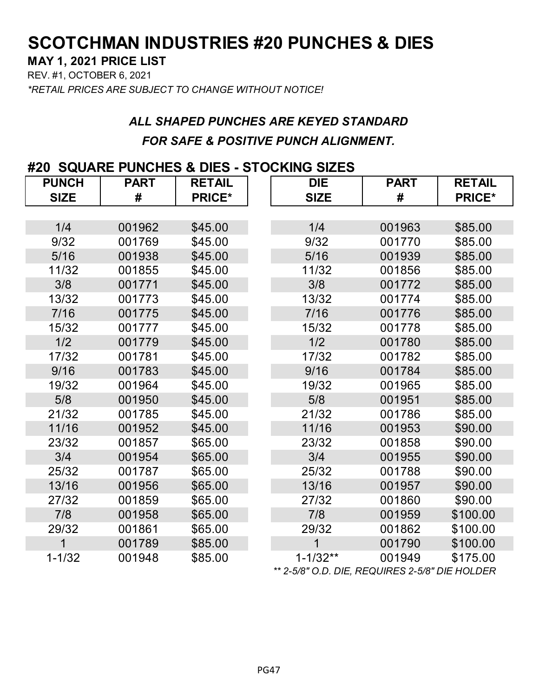#### **MAY 1, 2021 PRICE LIST**

REV. #1, OCTOBER 6, 2021

*\*RETAIL PRICES ARE SUBJECT TO CHANGE WITHOUT NOTICE!*

## *ALL SHAPED PUNCHES ARE KEYED STANDARD FOR SAFE & POSITIVE PUNCH ALIGNMENT.*

### **#20 SQUARE PUNCHES & DIES - STOCKING SIZES**

| <b>PUNCH</b> | <b>PART</b> | <b>RETAIL</b> | <b>DIE</b>   | <b>PART</b> | <b>RETAIL</b> |
|--------------|-------------|---------------|--------------|-------------|---------------|
| <b>SIZE</b>  | #           | <b>PRICE*</b> | <b>SIZE</b>  | #           | <b>PRICE*</b> |
|              |             |               |              |             |               |
| 1/4          | 001962      | \$45.00       | 1/4          | 001963      | \$85.00       |
| 9/32         | 001769      | \$45.00       | 9/32         | 001770      | \$85.00       |
| 5/16         | 001938      | \$45.00       | 5/16         | 001939      | \$85.00       |
| 11/32        | 001855      | \$45.00       | 11/32        | 001856      | \$85.00       |
| 3/8          | 001771      | \$45.00       | 3/8          | 001772      | \$85.00       |
| 13/32        | 001773      | \$45.00       | 13/32        | 001774      | \$85.00       |
| 7/16         | 001775      | \$45.00       | 7/16         | 001776      | \$85.00       |
| 15/32        | 001777      | \$45.00       | 15/32        | 001778      | \$85.00       |
| 1/2          | 001779      | \$45.00       | 1/2          | 001780      | \$85.00       |
| 17/32        | 001781      | \$45.00       | 17/32        | 001782      | \$85.00       |
| 9/16         | 001783      | \$45.00       | 9/16         | 001784      | \$85.00       |
| 19/32        | 001964      | \$45.00       | 19/32        | 001965      | \$85.00       |
| 5/8          | 001950      | \$45.00       | 5/8          | 001951      | \$85.00       |
| 21/32        | 001785      | \$45.00       | 21/32        | 001786      | \$85.00       |
| 11/16        | 001952      | \$45.00       | 11/16        | 001953      | \$90.00       |
| 23/32        | 001857      | \$65.00       | 23/32        | 001858      | \$90.00       |
| 3/4          | 001954      | \$65.00       | 3/4          | 001955      | \$90.00       |
| 25/32        | 001787      | \$65.00       | 25/32        | 001788      | \$90.00       |
| 13/16        | 001956      | \$65.00       | 13/16        | 001957      | \$90.00       |
| 27/32        | 001859      | \$65.00       | 27/32        | 001860      | \$90.00       |
| 7/8          | 001958      | \$65.00       | 7/8          | 001959      | \$100.00      |
| 29/32        | 001861      | \$65.00       | 29/32        | 001862      | \$100.00      |
| 1            | 001789      | \$85.00       | $\mathbf 1$  | 001790      | \$100.00      |
| $1 - 1/32$   | 001948      | \$85.00       | $1 - 1/32**$ | 001949      | \$175.00      |

*\*\* 2-5/8" O.D. DIE, REQUIRES 2-5/8" DIE HOLDER*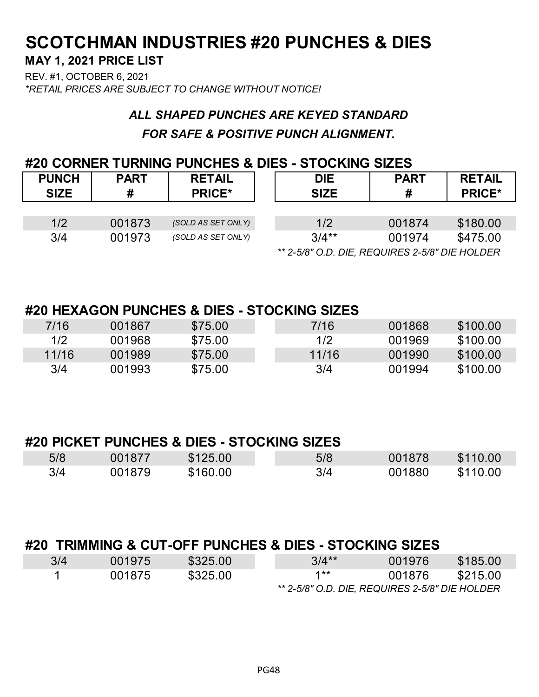### **MAY 1, 2021 PRICE LIST**

REV. #1, OCTOBER 6, 2021 *\*RETAIL PRICES ARE SUBJECT TO CHANGE WITHOUT NOTICE!*

## *ALL SHAPED PUNCHES ARE KEYED STANDARD FOR SAFE & POSITIVE PUNCH ALIGNMENT.*

#### **#20 CORNER TURNING PUNCHES & DIES - STOCKING SIZES**

| <b>PUNCH</b><br><b>SIZE</b> | <b>PART</b><br># | <b>RETAIL</b><br><b>PRICE*</b> | <b>DIE</b><br><b>SIZE</b>                      | <b>PART</b><br># | <b>RETAIL</b><br><b>PRICE*</b> |  |  |
|-----------------------------|------------------|--------------------------------|------------------------------------------------|------------------|--------------------------------|--|--|
|                             |                  |                                |                                                |                  |                                |  |  |
| 1/2                         | 001873           | (SOLD AS SET ONLY)             | 1/2                                            | 001874           | \$180.00                       |  |  |
| 3/4                         | 001973           | (SOLD AS SET ONLY)             | $3/4**$                                        | 001974           | \$475.00                       |  |  |
|                             |                  |                                | ** 2-5/8" O.D. DIE, REQUIRES 2-5/8" DIE HOLDER |                  |                                |  |  |

#### **#20 HEXAGON PUNCHES & DIES - STOCKING SIZES**

| 7/16  | 001867 | \$75.00 | 7/16  | 001868 | \$100.00 |
|-------|--------|---------|-------|--------|----------|
| 1/2   | 001968 | \$75.00 | 1/2   | 001969 | \$100.00 |
| 11/16 | 001989 | \$75.00 | 11/16 | 001990 | \$100.00 |
| 3/4   | 001993 | \$75.00 | 3/4   | 001994 | \$100.00 |

#### **#20 PICKET PUNCHES & DIES - STOCKING SIZES**

| 5/8 | 001877 | \$125.00 | 5/8 | 001878 | \$110.00 |
|-----|--------|----------|-----|--------|----------|
| 3/4 | 001879 | \$160.00 | 3/4 | 001880 | \$110.00 |

### **#20 TRIMMING & CUT-OFF PUNCHES & DIES - STOCKING SIZES**

| 3/4 | 001975 | \$325.00 | $3/4**$                                        | 001976 | \$185.00 |
|-----|--------|----------|------------------------------------------------|--------|----------|
|     | 001875 | \$325.00 | $1**$                                          | 001876 | \$215.00 |
|     |        |          | ** 2-5/8" O.D. DIE, REQUIRES 2-5/8" DIE HOLDER |        |          |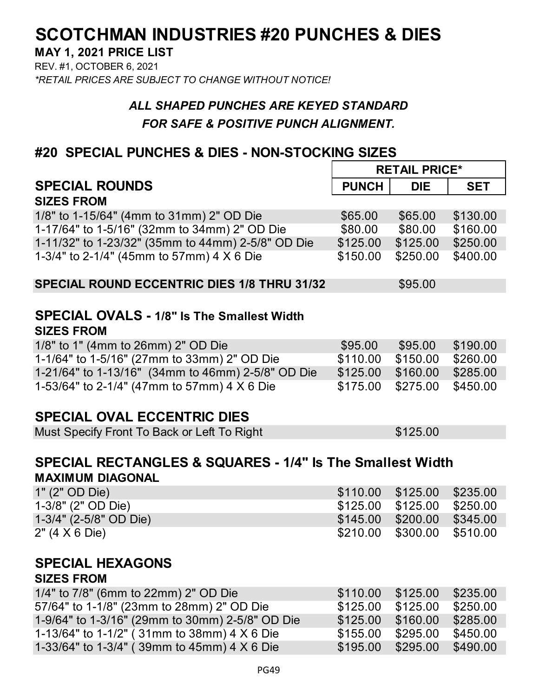**MAY 1, 2021 PRICE LIST**

REV. #1, OCTOBER 6, 2021 *\*RETAIL PRICES ARE SUBJECT TO CHANGE WITHOUT NOTICE!*

### *ALL SHAPED PUNCHES ARE KEYED STANDARD FOR SAFE & POSITIVE PUNCH ALIGNMENT.*

### **#20 SPECIAL PUNCHES & DIES - NON-STOCKING SIZES**

|                                                                      | <b>RETAIL PRICE*</b> |            |            |
|----------------------------------------------------------------------|----------------------|------------|------------|
| <b>SPECIAL ROUNDS</b>                                                | <b>PUNCH</b>         | <b>DIE</b> | <b>SET</b> |
| <b>SIZES FROM</b>                                                    |                      |            |            |
| 1/8" to 1-15/64" (4mm to 31mm) 2" OD Die                             | \$65.00              | \$65.00    | \$130.00   |
| 1-17/64" to 1-5/16" (32mm to 34mm) 2" OD Die                         | \$80.00              | \$80.00    | \$160.00   |
| 1-11/32" to 1-23/32" (35mm to 44mm) 2-5/8" OD Die                    | \$125.00             | \$125.00   | \$250.00   |
| 1-3/4" to 2-1/4" (45mm to 57mm) 4 X 6 Die                            | \$150.00             | \$250.00   | \$400.00   |
| <b>SPECIAL ROUND ECCENTRIC DIES 1/8 THRU 31/32</b>                   |                      | \$95.00    |            |
| <b>SPECIAL OVALS - 1/8" Is The Smallest Width</b>                    |                      |            |            |
| <b>SIZES FROM</b>                                                    |                      |            |            |
| 1/8" to 1" (4mm to 26mm) 2" OD Die                                   | \$95.00              | \$95.00    | \$190.00   |
| 1-1/64" to 1-5/16" (27mm to 33mm) 2" OD Die                          | \$110.00             | \$150.00   | \$260.00   |
| 1-21/64" to 1-13/16" (34mm to 46mm) 2-5/8" OD Die                    | \$125.00             | \$160.00   | \$285.00   |
| 1-53/64" to 2-1/4" (47mm to 57mm) 4 X 6 Die                          | \$175.00             | \$275.00   | \$450.00   |
|                                                                      |                      |            |            |
| <b>SPECIAL OVAL ECCENTRIC DIES</b>                                   |                      |            |            |
| Must Specify Front To Back or Left To Right                          |                      | \$125.00   |            |
|                                                                      |                      |            |            |
| <b>SPECIAL RECTANGLES &amp; SQUARES - 1/4" Is The Smallest Width</b> |                      |            |            |
| <b>MAXIMUM DIAGONAL</b>                                              |                      |            |            |
| 1" (2" OD Die)                                                       | \$110.00             | \$125.00   | \$235.00   |
| 1-3/8" (2" OD Die)                                                   | \$125.00             | \$125.00   | \$250.00   |
| 1-3/4" (2-5/8" OD Die)                                               | \$145.00             | \$200.00   | \$345.00   |
| 2" (4 X 6 Die)                                                       | \$210.00             | \$300.00   | \$510.00   |
|                                                                      |                      |            |            |
| <b>SPECIAL HEXAGONS</b>                                              |                      |            |            |
| <b>SIZES FROM</b>                                                    |                      |            |            |
| 1/4" to 7/8" (6mm to 22mm) 2" OD Die                                 | \$110.00             | \$125.00   | \$235.00   |
| 57/64" to 1-1/8" (23mm to 28mm) 2" OD Die                            | \$125.00             | \$125.00   | \$250.00   |
| 1-9/64" to 1-3/16" (29mm to 30mm) 2-5/8" OD Die                      | \$125.00             | \$160.00   | \$285.00   |
| 1-13/64" to 1-1/2" (31mm to 38mm) 4 X 6 Die                          | \$155.00             | \$295.00   | \$450.00   |
| 1-33/64" to 1-3/4" (39mm to 45mm) 4 X 6 Die                          | \$195.00             | \$295.00   | \$490.00   |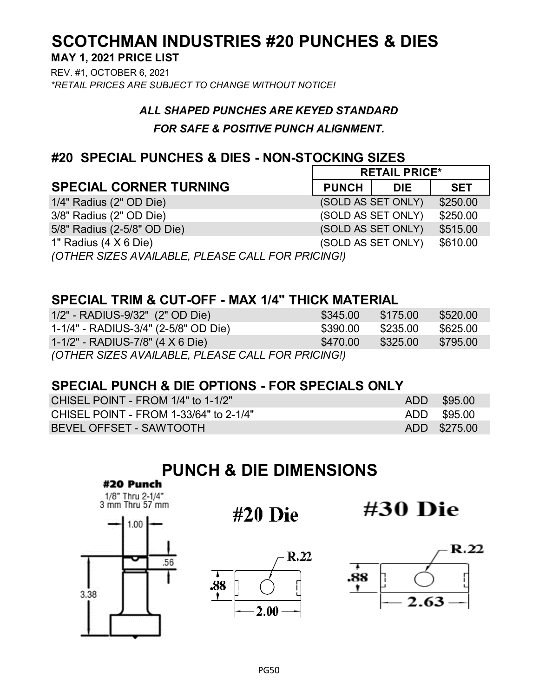### **SCOTCHMAN INDUSTRIES #20 PUNCHES & DIES MAY 1, 2021 PRICE LIST**

REV. #1, OCTOBER 6, 2021 *\*RETAIL PRICES ARE SUBJECT TO CHANGE WITHOUT NOTICE!*

#### *ALL SHAPED PUNCHES ARE KEYED STANDARD*

#### *FOR SAFE & POSITIVE PUNCH ALIGNMENT.*

#### **#20 SPECIAL PUNCHES & DIES - NON-STOCKING SIZES**

|                                                   | <b>RETAIL PRICE*</b> |            |            |
|---------------------------------------------------|----------------------|------------|------------|
| <b>SPECIAL CORNER TURNING</b>                     | <b>PUNCH</b>         | <b>DIE</b> | <b>SET</b> |
| 1/4" Radius (2" OD Die)                           | (SOLD AS SET ONLY)   |            | \$250.00   |
| 3/8" Radius (2" OD Die)                           | (SOLD AS SET ONLY)   |            | \$250.00   |
| 5/8" Radius (2-5/8" OD Die)                       | (SOLD AS SET ONLY)   |            | \$515.00   |
| 1" Radius $(4 \times 6 \text{ Die})$              | (SOLD AS SET ONLY)   |            | \$610.00   |
| (OTHER SIZES AVAILABLE, PLEASE CALL FOR PRICING!) |                      |            |            |

#### **SPECIAL TRIM & CUT-OFF - MAX 1/4" THICK MATERIAL**

| $1/2"$ - RADIUS-9/32" (2" OD Die)                 | \$345.00 | \$175.00 | \$520.00 |
|---------------------------------------------------|----------|----------|----------|
| 1-1/4" - RADIUS-3/4" (2-5/8" OD Die)              | \$390.00 | \$235.00 | \$625.00 |
| 1-1/2" - RADIUS-7/8" (4 X 6 Die)                  | \$470.00 | \$325.00 | \$795.00 |
| (OTHER SIZES AVAILABLE, PLEASE CALL FOR PRICING!) |          |          |          |

#### **SPECIAL PUNCH & DIE OPTIONS - FOR SPECIALS ONLY**

| CHISEL POINT - FROM 1/4" to 1-1/2"     | ADD \$95.00  |
|----------------------------------------|--------------|
| CHISEL POINT - FROM 1-33/64" to 2-1/4" | ADD \$95.00  |
| BEVEL OFFSET - SAWTOOTH                | ADD \$275.00 |

# **PUNCH & DIE DIMENSIONS**







 $#20$  Die



#30 Die